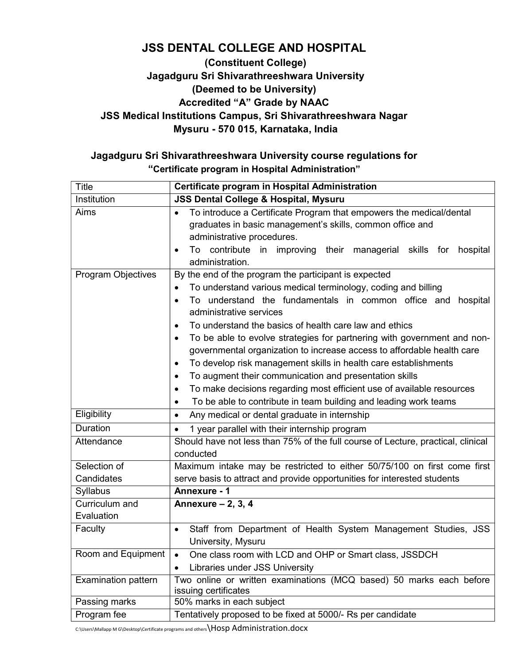## JSS DENTAL COLLEGE AND HOSPITAL

### (Constituent College) Jagadguru Sri Shivarathreeshwara University (Deemed to be University) Accredited "A" Grade by NAAC JSS Medical Institutions Campus, Sri Shivarathreeshwara Nagar Mysuru - 570 015, Karnataka, India

## Jagadguru Sri Shivarathreeshwara University course regulations for "Certificate program in Hospital Administration"

| <b>Title</b>               | Certificate program in Hospital Administration                                                                                                                                                                                                                                                                                                                                                                                                                                                                                                                                                                                                                                                                          |  |  |  |
|----------------------------|-------------------------------------------------------------------------------------------------------------------------------------------------------------------------------------------------------------------------------------------------------------------------------------------------------------------------------------------------------------------------------------------------------------------------------------------------------------------------------------------------------------------------------------------------------------------------------------------------------------------------------------------------------------------------------------------------------------------------|--|--|--|
| Institution                | <b>JSS Dental College &amp; Hospital, Mysuru</b>                                                                                                                                                                                                                                                                                                                                                                                                                                                                                                                                                                                                                                                                        |  |  |  |
| Aims                       | To introduce a Certificate Program that empowers the medical/dental<br>$\bullet$<br>graduates in basic management's skills, common office and<br>administrative procedures.                                                                                                                                                                                                                                                                                                                                                                                                                                                                                                                                             |  |  |  |
|                            | To contribute in improving their managerial skills for hospital<br>administration.                                                                                                                                                                                                                                                                                                                                                                                                                                                                                                                                                                                                                                      |  |  |  |
| <b>Program Objectives</b>  | By the end of the program the participant is expected<br>To understand various medical terminology, coding and billing<br>To understand the fundamentals in common office and hospital<br>administrative services<br>To understand the basics of health care law and ethics<br>To be able to evolve strategies for partnering with government and non-<br>$\bullet$<br>governmental organization to increase access to affordable health care<br>To develop risk management skills in health care establishments<br>To augment their communication and presentation skills<br>To make decisions regarding most efficient use of available resources<br>To be able to contribute in team building and leading work teams |  |  |  |
| Eligibility                | Any medical or dental graduate in internship<br>$\bullet$                                                                                                                                                                                                                                                                                                                                                                                                                                                                                                                                                                                                                                                               |  |  |  |
| Duration                   | 1 year parallel with their internship program<br>$\bullet$                                                                                                                                                                                                                                                                                                                                                                                                                                                                                                                                                                                                                                                              |  |  |  |
| Attendance                 | Should have not less than 75% of the full course of Lecture, practical, clinical<br>conducted                                                                                                                                                                                                                                                                                                                                                                                                                                                                                                                                                                                                                           |  |  |  |
| Selection of               | Maximum intake may be restricted to either 50/75/100 on first come first                                                                                                                                                                                                                                                                                                                                                                                                                                                                                                                                                                                                                                                |  |  |  |
| Candidates                 | serve basis to attract and provide opportunities for interested students                                                                                                                                                                                                                                                                                                                                                                                                                                                                                                                                                                                                                                                |  |  |  |
| Syllabus                   | Annexure - 1                                                                                                                                                                                                                                                                                                                                                                                                                                                                                                                                                                                                                                                                                                            |  |  |  |
| Curriculum and             | Annexure $-2$ , 3, 4                                                                                                                                                                                                                                                                                                                                                                                                                                                                                                                                                                                                                                                                                                    |  |  |  |
| Evaluation                 |                                                                                                                                                                                                                                                                                                                                                                                                                                                                                                                                                                                                                                                                                                                         |  |  |  |
| Faculty                    | Staff from Department of Health System Management Studies, JSS<br>$\bullet$<br>University, Mysuru                                                                                                                                                                                                                                                                                                                                                                                                                                                                                                                                                                                                                       |  |  |  |
| Room and Equipment         | One class room with LCD and OHP or Smart class, JSSDCH<br>Libraries under JSS University                                                                                                                                                                                                                                                                                                                                                                                                                                                                                                                                                                                                                                |  |  |  |
| <b>Examination pattern</b> | Two online or written examinations (MCQ based) 50 marks each before<br>issuing certificates                                                                                                                                                                                                                                                                                                                                                                                                                                                                                                                                                                                                                             |  |  |  |
| Passing marks              | 50% marks in each subject                                                                                                                                                                                                                                                                                                                                                                                                                                                                                                                                                                                                                                                                                               |  |  |  |
| Program fee                | Tentatively proposed to be fixed at 5000/- Rs per candidate                                                                                                                                                                                                                                                                                                                                                                                                                                                                                                                                                                                                                                                             |  |  |  |

C:\Users\Mallapp M G\Desktop\Certificate programs and others\HOSp Administration.docx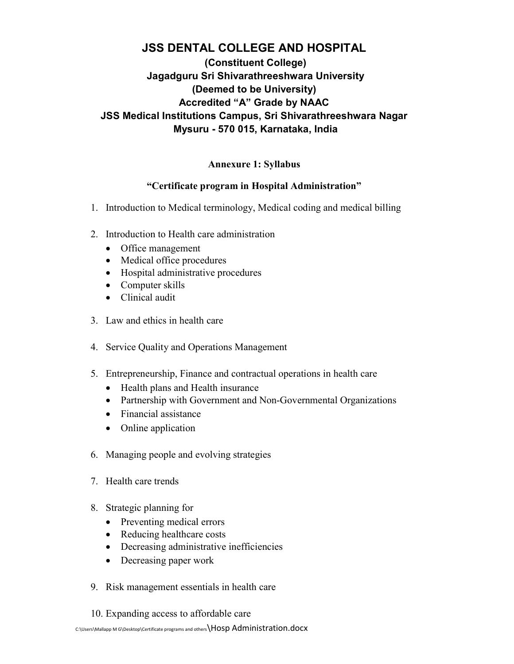## JSS DENTAL COLLEGE AND HOSPITAL (Constituent College) Jagadguru Sri Shivarathreeshwara University (Deemed to be University) Accredited "A" Grade by NAAC JSS Medical Institutions Campus, Sri Shivarathreeshwara Nagar Mysuru - 570 015, Karnataka, India

#### Annexure 1: Syllabus

#### "Certificate program in Hospital Administration"

- 1. Introduction to Medical terminology, Medical coding and medical billing
- 2. Introduction to Health care administration
	- Office management
	- Medical office procedures
	- Hospital administrative procedures
	- Computer skills
	- Clinical audit
- 3. Law and ethics in health care
- 4. Service Quality and Operations Management
- 5. Entrepreneurship, Finance and contractual operations in health care
	- Health plans and Health insurance
	- Partnership with Government and Non-Governmental Organizations
	- Financial assistance
	- Online application
- 6. Managing people and evolving strategies
- 7. Health care trends
- 8. Strategic planning for
	- Preventing medical errors
	- Reducing healthcare costs
	- Decreasing administrative inefficiencies
	- Decreasing paper work
- 9. Risk management essentials in health care
- 10. Expanding access to affordable care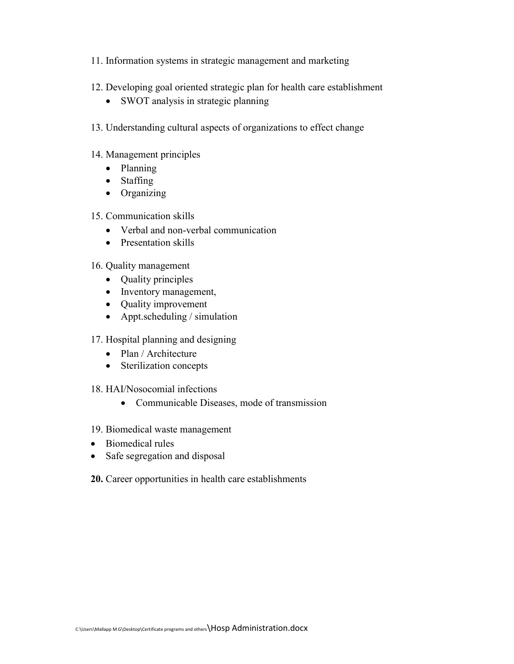- 11. Information systems in strategic management and marketing
- 12. Developing goal oriented strategic plan for health care establishment
	- SWOT analysis in strategic planning
- 13. Understanding cultural aspects of organizations to effect change
- 14. Management principles
	- Planning
	- Staffing
	- Organizing
- 15. Communication skills
	- Verbal and non-verbal communication
	- Presentation skills
- 16. Quality management
	- Quality principles
	- Inventory management,
	- Quality improvement
	- Appt.scheduling / simulation
- 17. Hospital planning and designing
	- Plan / Architecture
	- Sterilization concepts
- 18. HAI/Nosocomial infections
	- Communicable Diseases, mode of transmission
- 19. Biomedical waste management
- Biomedical rules
- Safe segregation and disposal
- 20. Career opportunities in health care establishments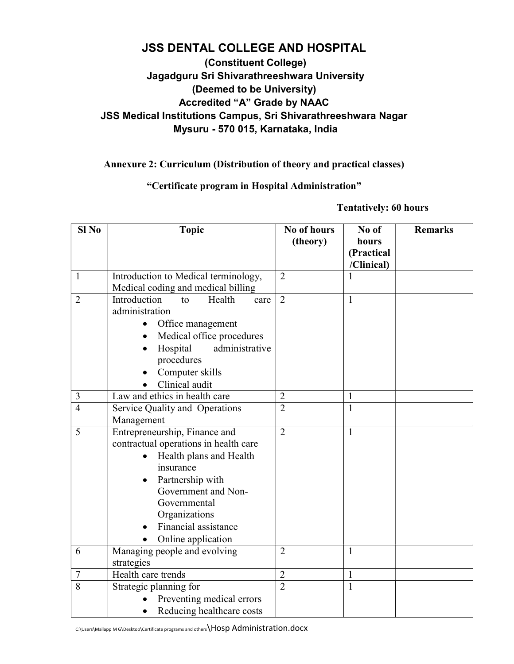## JSS DENTAL COLLEGE AND HOSPITAL (Constituent College)

## Jagadguru Sri Shivarathreeshwara University (Deemed to be University) Accredited "A" Grade by NAAC JSS Medical Institutions Campus, Sri Shivarathreeshwara Nagar Mysuru - 570 015, Karnataka, India

#### Annexure 2: Curriculum (Distribution of theory and practical classes)

#### "Certificate program in Hospital Administration"

Tentatively: 60 hours

| $SI$ No        | <b>Topic</b>                          | No of hours    | No of        | <b>Remarks</b> |
|----------------|---------------------------------------|----------------|--------------|----------------|
|                |                                       | (theory)       | hours        |                |
|                |                                       |                | (Practical   |                |
|                |                                       |                | /Clinical)   |                |
| $\mathbf{1}$   | Introduction to Medical terminology,  | $\overline{2}$ | 1            |                |
|                | Medical coding and medical billing    |                |              |                |
| $\overline{2}$ | Introduction<br>Health<br>to<br>care  | $\overline{2}$ | $\mathbf{1}$ |                |
|                | administration                        |                |              |                |
|                | Office management                     |                |              |                |
|                | Medical office procedures             |                |              |                |
|                | Hospital<br>administrative            |                |              |                |
|                | procedures                            |                |              |                |
|                | Computer skills                       |                |              |                |
|                | Clinical audit                        |                |              |                |
| $\mathfrak{Z}$ | Law and ethics in health care         | $\overline{2}$ | 1            |                |
| $\overline{4}$ | Service Quality and Operations        | $\overline{2}$ | $\mathbf{1}$ |                |
|                | Management                            |                |              |                |
| 5              | Entrepreneurship, Finance and         | $\overline{2}$ | $\mathbf{1}$ |                |
|                | contractual operations in health care |                |              |                |
|                | Health plans and Health               |                |              |                |
|                | insurance                             |                |              |                |
|                | Partnership with                      |                |              |                |
|                | Government and Non-                   |                |              |                |
|                | Governmental                          |                |              |                |
|                | Organizations                         |                |              |                |
|                | Financial assistance                  |                |              |                |
|                | Online application                    |                |              |                |
| 6              | Managing people and evolving          | $\overline{2}$ | 1            |                |
|                | strategies                            |                |              |                |
| $\tau$         | Health care trends                    | $\overline{2}$ | $\mathbf{1}$ |                |
| $\overline{8}$ | Strategic planning for                | $\overline{2}$ | $\mathbf{1}$ |                |
|                | Preventing medical errors             |                |              |                |
|                | Reducing healthcare costs             |                |              |                |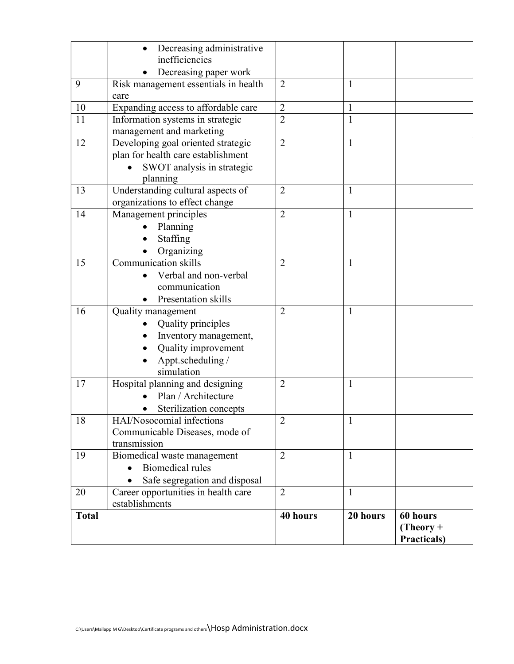| <b>Total</b> |                                                                                                                             | 40 hours                         | 20 hours     | 60 hours<br>$(Theory +$<br>Practicals) |
|--------------|-----------------------------------------------------------------------------------------------------------------------------|----------------------------------|--------------|----------------------------------------|
|              | Career opportunities in health care<br>establishments                                                                       |                                  |              |                                        |
| 20           | Safe segregation and disposal                                                                                               | $\overline{2}$                   | $\mathbf{1}$ |                                        |
| 19           | Biomedical waste management<br>Biomedical rules                                                                             | $\overline{2}$                   | $\mathbf{1}$ |                                        |
| 18           | HAI/Nosocomial infections<br>Communicable Diseases, mode of<br>transmission                                                 | 2                                | 1            |                                        |
| 17           | Hospital planning and designing<br>Plan / Architecture<br>Sterilization concepts                                            | $\overline{2}$                   | 1            |                                        |
| 16           | Quality management<br>Quality principles<br>Inventory management,<br>Quality improvement<br>Appt.scheduling /<br>simulation |                                  | $\mathbf{1}$ |                                        |
| 15           | <b>Communication skills</b><br>Verbal and non-verbal<br>communication<br>Presentation skills                                | $\overline{2}$<br>$\overline{2}$ | 1            |                                        |
| 14           | Management principles<br>Planning<br>Staffing<br>Organizing                                                                 | $\overline{2}$                   | $\mathbf{1}$ |                                        |
| 13           | Understanding cultural aspects of<br>organizations to effect change                                                         | $\overline{2}$                   | $\mathbf{1}$ |                                        |
| 12           | Developing goal oriented strategic<br>plan for health care establishment<br>SWOT analysis in strategic<br>planning          | $\overline{2}$                   | 1            |                                        |
| 11           | Information systems in strategic<br>management and marketing                                                                | $\overline{2}$                   | $\mathbf{1}$ |                                        |
| 10           | care<br>Expanding access to affordable care                                                                                 | $\overline{2}$                   | $\mathbf{1}$ |                                        |
| 9            | Decreasing paper work<br>Risk management essentials in health                                                               | $\overline{2}$                   | $\mathbf{1}$ |                                        |
|              | Decreasing administrative<br>inefficiencies                                                                                 |                                  |              |                                        |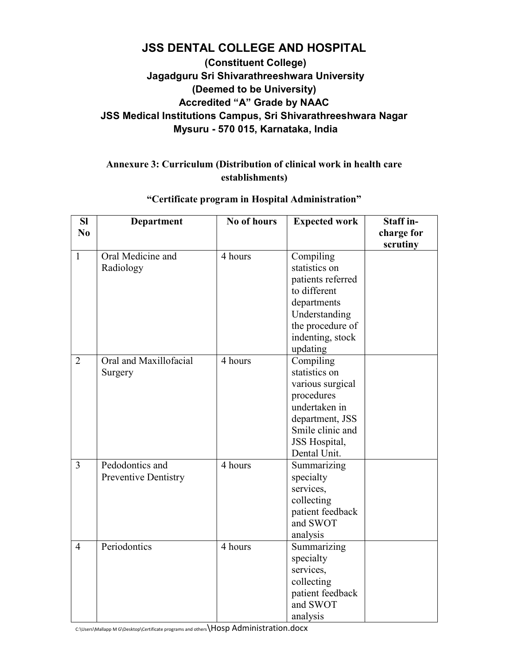# JSS DENTAL COLLEGE AND HOSPITAL

### (Constituent College) Jagadguru Sri Shivarathreeshwara University (Deemed to be University) Accredited "A" Grade by NAAC JSS Medical Institutions Campus, Sri Shivarathreeshwara Nagar Mysuru - 570 015, Karnataka, India

#### Annexure 3: Curriculum (Distribution of clinical work in health care establishments)

| <b>SI</b><br>No | Department                                     | No of hours | <b>Expected work</b>                                                                                                                                  | Staff in-              |
|-----------------|------------------------------------------------|-------------|-------------------------------------------------------------------------------------------------------------------------------------------------------|------------------------|
|                 |                                                |             |                                                                                                                                                       | charge for<br>scrutiny |
| $\mathbf{1}$    | Oral Medicine and<br>Radiology                 | 4 hours     | Compiling<br>statistics on<br>patients referred<br>to different<br>departments<br>Understanding<br>the procedure of<br>indenting, stock<br>updating   |                        |
| $\overline{2}$  | Oral and Maxillofacial<br>Surgery              | 4 hours     | Compiling<br>statistics on<br>various surgical<br>procedures<br>undertaken in<br>department, JSS<br>Smile clinic and<br>JSS Hospital,<br>Dental Unit. |                        |
| $\overline{3}$  | Pedodontics and<br><b>Preventive Dentistry</b> | 4 hours     | Summarizing<br>specialty<br>services,<br>collecting<br>patient feedback<br>and SWOT<br>analysis                                                       |                        |
| $\overline{4}$  | Periodontics                                   | 4 hours     | Summarizing<br>specialty<br>services,<br>collecting<br>patient feedback<br>and SWOT<br>analysis                                                       |                        |

#### "Certificate program in Hospital Administration"

C:\Users\Mallapp M G\Desktop\Certificate programs and others\HOSp Administration.docx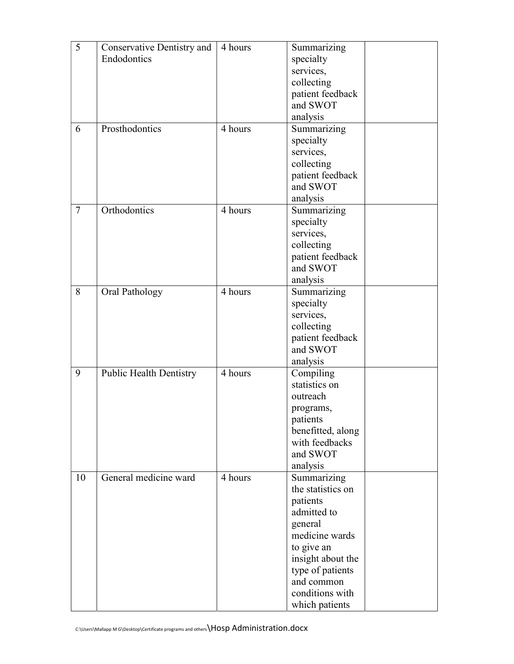| 5      | Conservative Dentistry and     | 4 hours | Summarizing               |  |
|--------|--------------------------------|---------|---------------------------|--|
|        | Endodontics                    |         | specialty                 |  |
|        |                                |         | services,                 |  |
|        |                                |         | collecting                |  |
|        |                                |         | patient feedback          |  |
|        |                                |         | and SWOT                  |  |
|        |                                |         | analysis                  |  |
| 6      | Prosthodontics                 | 4 hours | Summarizing               |  |
|        |                                |         |                           |  |
|        |                                |         | specialty                 |  |
|        |                                |         | services,                 |  |
|        |                                |         | collecting                |  |
|        |                                |         | patient feedback          |  |
|        |                                |         | and SWOT                  |  |
|        |                                |         | analysis                  |  |
| $\tau$ | Orthodontics                   | 4 hours | Summarizing               |  |
|        |                                |         | specialty                 |  |
|        |                                |         | services,                 |  |
|        |                                |         | collecting                |  |
|        |                                |         | patient feedback          |  |
|        |                                |         | and SWOT                  |  |
|        |                                |         | analysis                  |  |
| 8      | Oral Pathology                 | 4 hours | Summarizing               |  |
|        |                                |         | specialty                 |  |
|        |                                |         | services,                 |  |
|        |                                |         | collecting                |  |
|        |                                |         | patient feedback          |  |
|        |                                |         | and SWOT                  |  |
|        |                                |         | analysis                  |  |
| 9      | <b>Public Health Dentistry</b> | 4 hours | Compiling                 |  |
|        |                                |         | statistics on             |  |
|        |                                |         | outreach                  |  |
|        |                                |         | programs,                 |  |
|        |                                |         | patients                  |  |
|        |                                |         | benefitted, along         |  |
|        |                                |         | with feedbacks            |  |
|        |                                |         | and SWOT                  |  |
|        |                                |         | analysis                  |  |
| 10     | General medicine ward          | 4 hours | Summarizing               |  |
|        |                                |         | the statistics on         |  |
|        |                                |         | patients                  |  |
|        |                                |         | admitted to               |  |
|        |                                |         |                           |  |
|        |                                |         | general<br>medicine wards |  |
|        |                                |         |                           |  |
|        |                                |         | to give an                |  |
|        |                                |         | insight about the         |  |
|        |                                |         | type of patients          |  |
|        |                                |         | and common                |  |
|        |                                |         | conditions with           |  |
|        |                                |         | which patients            |  |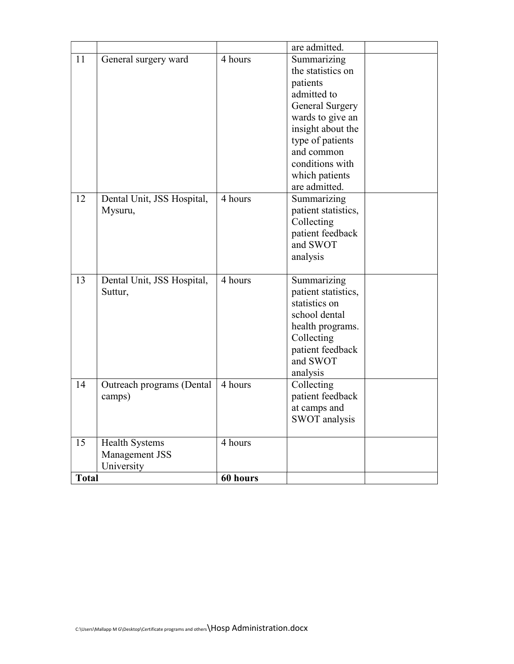|              |                            |          | are admitted.          |  |
|--------------|----------------------------|----------|------------------------|--|
| 11           | General surgery ward       | 4 hours  | Summarizing            |  |
|              |                            |          | the statistics on      |  |
|              |                            |          | patients               |  |
|              |                            |          | admitted to            |  |
|              |                            |          | <b>General Surgery</b> |  |
|              |                            |          | wards to give an       |  |
|              |                            |          | insight about the      |  |
|              |                            |          | type of patients       |  |
|              |                            |          | and common             |  |
|              |                            |          | conditions with        |  |
|              |                            |          | which patients         |  |
|              |                            |          | are admitted.          |  |
| 12           | Dental Unit, JSS Hospital, | 4 hours  | Summarizing            |  |
|              | Mysuru,                    |          | patient statistics,    |  |
|              |                            |          | Collecting             |  |
|              |                            |          | patient feedback       |  |
|              |                            |          | and SWOT               |  |
|              |                            |          | analysis               |  |
|              |                            |          |                        |  |
| 13           | Dental Unit, JSS Hospital, | 4 hours  | Summarizing            |  |
|              | Suttur,                    |          | patient statistics,    |  |
|              |                            |          | statistics on          |  |
|              |                            |          | school dental          |  |
|              |                            |          | health programs.       |  |
|              |                            |          | Collecting             |  |
|              |                            |          | patient feedback       |  |
|              |                            |          | and SWOT               |  |
|              |                            |          | analysis               |  |
| 14           | Outreach programs (Dental  | 4 hours  | Collecting             |  |
|              | camps)                     |          | patient feedback       |  |
|              |                            |          | at camps and           |  |
|              |                            |          | SWOT analysis          |  |
| 15           | <b>Health Systems</b>      | 4 hours  |                        |  |
|              | Management JSS             |          |                        |  |
|              | University                 |          |                        |  |
| <b>Total</b> |                            | 60 hours |                        |  |